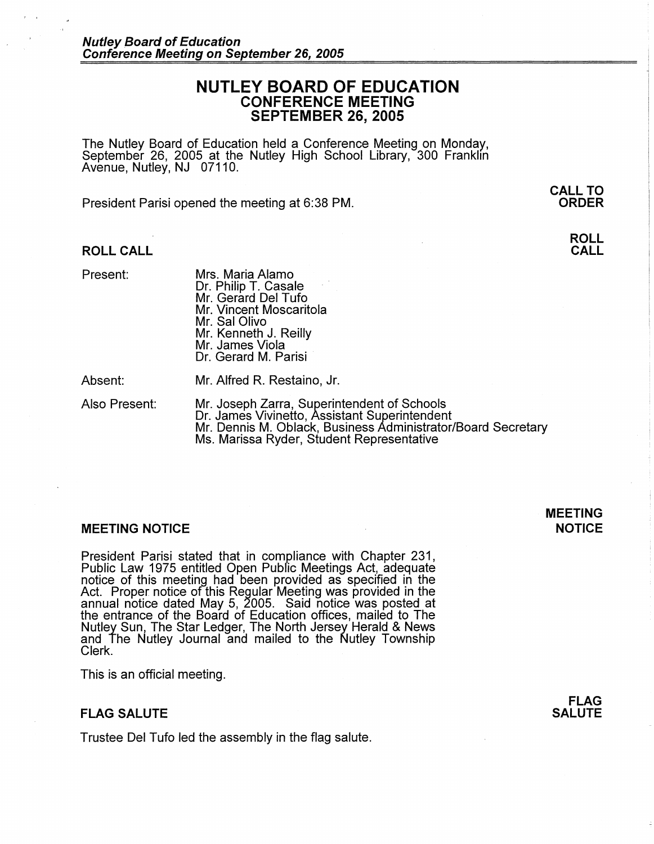# **NUTLEY BOARD OF EDUCATION CONFERENCE MEETING SEPTEMBER 26, 2005**

The Nutley Board of Education held a Conference Meeting on Monday, September 26, 2005 at the Nutley High School Library, 300 Franklin Avenue, Nutley, NJ 07110.

President Parisi opened the meeting at 6:38 PM.

### **ROLL CALL**

Present:

Mrs. Maria Alamo Dr. Philip T. Casale Mr. Gerard Del Tufo Mr. Vincent Moscaritola Mr. Sal Olivo Mr. Kenneth J. Reilly Mr. James Viola Dr. Gerard M. Parisi

Absent:

Mr. Alfred R. Restaino, Jr.

Also Present: Mr. Joseph Zarra, Superintendent of Schools Dr. James Vivinetto, Assistant Superintendent Mr. Dennis M. Oblack, Business Administrator/Board Secretary Ms. Marissa Ryder, Student Representative

### **MEETING NOTICE**

President Parisi stated that in compliance with Chapter 231, Public Law 1975 entitled Open Public Meetings Act, adequate notice of this meeting had been provided as specified in the Act. Proper notice of this Regular Meeting was provided in the annual notice dated May 5, 2005. Said notice was posted at the entrance of the Board of Education offices, mailed to The Nutley Sun, The Star Ledger, The North Jersey Herald & News and The Nutley Journal and mailed to the Nutley Township Clerk.

This is an official meeting.

## **FLAG SALUTE**

Trustee Del Tufo led the assembly in the flag salute.

**FLAG SALUTE** 

**MEETING NOTICE** 

**ORDER** 

**ROLL CALL** 

**CALL TO**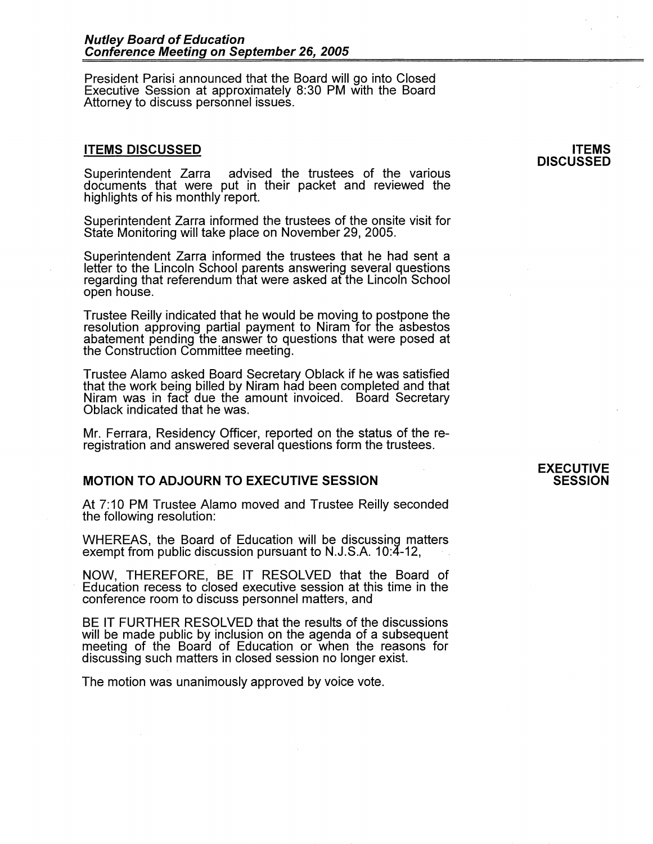President Parisi announced that the Board will go into Closed Executive Session at approximately 8:30 PM with the Board Attorney to discuss personnel issues.

### **ITEMS DISCUSSED**

Superintendent Zarra advised the trustees of the various documents that were put in their packet and reviewed the highlights of his monthly report.

Superintendent Zarra informed the trustees of the onsite visit for State Monitoring will take place on November 29, 2005.

Superintendent Zarra informed the trustees that he had sent a letter to the Lincoln School parents answering several questions regarding that referendum that were asked at the Lincoln School open house.

Trustee Reilly indicated that he would be moving to postpone the resolution approving partial payment to Niram for the asbestos abatement pending the answer to questions that were posed at the Construction Committee meeting.

Trustee Alamo asked Board Secretary Oblack if he was satisfied that the work being billed by Niram had been completed and that Niram was in fact due the amount invoiced. Board Secretary Oblack indicated that he was.

Mr. Ferrara, Residency Officer, reported on the status of the reregistration and answered several questions form the trustees.

## **MOTION TO ADJOURN TO EXECUTIVE SESSION**

At 7: 10 PM Trustee Alamo moved and Trustee Reilly seconded the following resolution:

WHEREAS, the Board of Education will be discussing matters exempt from public discussion pursuant to  $N.J.S.A.$  10:4-12,

NOW, THEREFORE, BE IT RESOLVED that the Board of Education recess to closed executive session at this time in the conference room to discuss personnel matters, and

BE IT FURTHER RESOLVED that the results of the discussions will be made public by inclusion on the agenda of a subsequent meeting of the Board of Education or when the reasons for discussing such matters in closed session no longer exist.

The motion was unanimously approved by voice vote.

#### **ITEMS DISCUSSED**

## **EXECUTIVE SESSION**